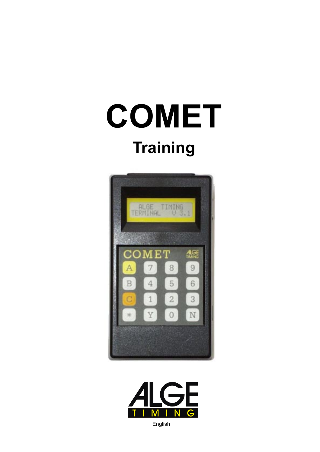# **COMET Training**





English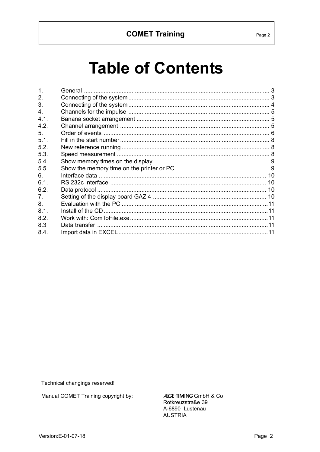# **Table of Contents**

| $\mathbf{1}$ . |  |
|----------------|--|
| 2.             |  |
| 3.             |  |
| 4 <sub>1</sub> |  |
| 4.1.           |  |
| 4.2.           |  |
| 5 <sub>1</sub> |  |
| 5.1.           |  |
| 5.2.           |  |
| 5.3.           |  |
| 5.4.           |  |
| 5.5.           |  |
| 6.             |  |
| 61             |  |
| 6.2.           |  |
| 7 <sub>1</sub> |  |
| 8.             |  |
| 8.1.           |  |
| 8.2.           |  |
| 8.3            |  |
| 8.4.           |  |
|                |  |

Technical changings reserved!

Manual COMET Training copyright by:

ALGE-TIMING GmbH & Co Rotkreuzstraße 39 A-6890 Lustenau **AUSTRIA**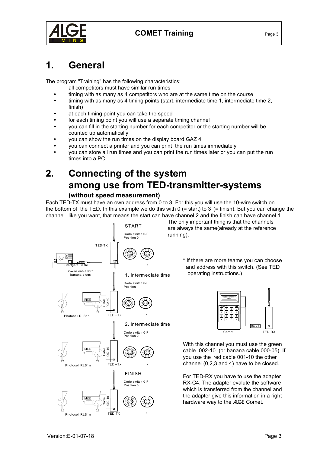

<span id="page-2-0"></span>

# **1. General**

The program "Training" has the following characteristics:

- all competitors must have similar run times
- timing with as many as 4 competitors who are at the same time on the course
- timing with as many as 4 timing points (start, intermediate time 1, intermediate time 2, finish)
- at each timing point you can take the speed
- for each timing point you will use a separate timing channel
- you can fill in the starting number for each competitor or the starting number will be counted up automatically
- you can show the run times on the display board GAZ 4
- you can connect a printer and you can print the run times immediately
- you can store all run times and you can print the run times later or you can put the run times into a PC

# **2. Connecting of the system among use from TED-transmitter-systems**

#### **(without speed measurement)**

Each TED-TX must have an own address from 0 to 3. For this you will use the 10-wire switch on the bottom of the TED. In this example we do this with  $0$  (= start) to 3 (= finish). But you can change the channel like you want, that means the start can have channel 2 and the finish can have channel 1.



The only important thing is that the channels are always the same(already at the reference running).

> \* If there are more teams you can choose and address with this switch. (See TED operating instructions.)



With this channel you must use the green cable 002-10 (or banana cable 000-05). If you use the red cable 001-10 the other channel (0,2,3 and 4) have to be closed.

For TED-RX you have to use the adapter RX-C4. The adapter evalute the software which is transferred from the channel and the adapter give this information in a right hardware way to the ALGE Comet.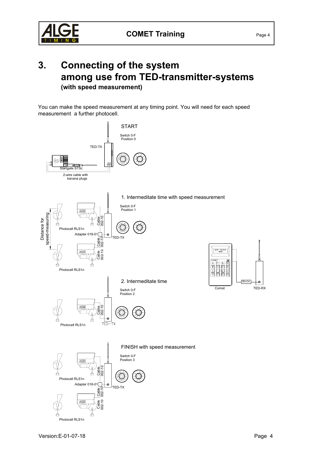<span id="page-3-0"></span>

### **3. Connecting of the system among use from TED-transmitter-systems (with speed measurement)**

You can make the speed measurement at any timing point. You will need for each speed measurement a further photocell.

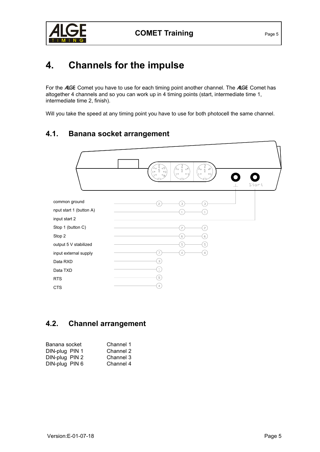<span id="page-4-0"></span>

# **4. Channels for the impulse**

For the ALGE Comet you have to use for each timing point another channel. The ALGE Comet has altogether 4 channels and so you can work up in 4 timing points (start, intermediate time 1, intermediate time 2, finish).

Will you take the speed at any timing point you have to use for both photocell the same channel.

#### **4.1. Banana socket arrangement**



#### **4.2. Channel arrangement**

| Banana socket  | Channel 1 |
|----------------|-----------|
| DIN-plug PIN 1 | Channel 2 |
| DIN-plug PIN 2 | Channel 3 |
| DIN-plug PIN 6 | Channel 4 |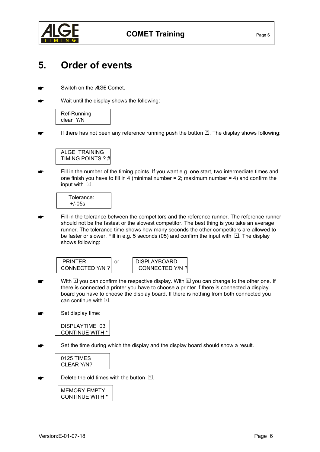<span id="page-5-0"></span>

## **5. Order of events**

- Switch on the ALGE Comet.
- Wait until the display shows the following:

Ref-Running clear Y/N

If there has not been any reference running push the button  $\mathbb Z$ . The display shows following:



 Fill in the number of the timing points. If you want e.g. one start, two intermediate times and one finish you have to fill in 4 (minimal number  $= 2$ ; maximum number  $= 4$ ) and confirm the input with  $\Box$ .

Tolerance: +/-05s

 Fill in the tolerance between the competitors and the reference runner. The reference runner should not be the fastest or the slowest competitor. The best thing is you take an average runner. The tolerance time shows how many seconds the other competitors are allowed to be faster or slower. Fill in e.g. 5 seconds (05) and confirm the input with  $\Box$ . The display shows following:

PRINTER | or | DISPLAYBOARD CONNECTED Y/N ? CONNECTED Y/N ?

With  $\Im$  you can confirm the respective display. With  $\Im$  you can change to the other one. If there is connected a printer you have to choose a printer if there is connected a display board you have to choose the display board. If there is nothing from both connected you can continue with  $\mathbb{Z}$ .

Set display time:

DISPLAYTIME 03 CONTINUE WITH \*

Set the time during which the display and the display board should show a result.

0125 TIMES CLEAR Y/N?

Delete the old times with the button  $\mathbb{Z}$ .

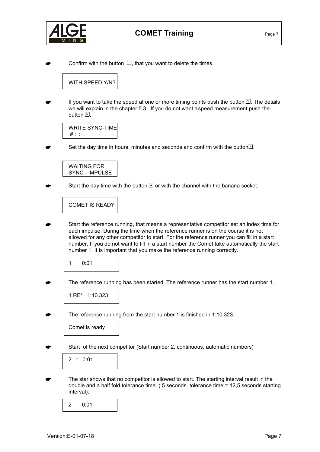

Confirm with the button  $\Box$ , that you want to delete the times.

WITH SPEED Y/N?

If you want to take the speed at one or more timing points push the button  $\mathbb{Z}$ . The details we will explain in the chapter 5.3. If you do not want aspeed measurement push the button  $\mathbb{E}$ .

WRITE SYNC-TIME  $#$  :

Set the day time in hours, minutes and seconds and confirm with the button<sup>1</sup>.

WAITING FOR SYNC - IMPULSE

Start the day time with the button  $\overline{\mathbb{A}}$  or with the channel with the banana socket.

COMET IS READY

 Start the reference running, that means a representative competitor set an index time for each impulse. During the time when the reference runner is on the course it is not allowed for any other competitor to start. For the reference runner you can fill in a start number. If you do not want to fill in a start number the Comet take automatically the start number 1. It is important that you make the reference running correctly.

1 0:01

The reference running has been started. The reference runner has the start number 1.

1 RE\* 1:10.323

The reference running from the start number 1 is finished in 1:10:323.

Comet is ready

Start of the next competitor (Start number 2, continuous, automatic numbers)

2 \* 0:01

 The star shows that no competitor is allowed to start. The starting interval result in the double and a half fold tolerance time ( 5 seconds tolerance time = 12,5 seconds starting interval).

2 0:01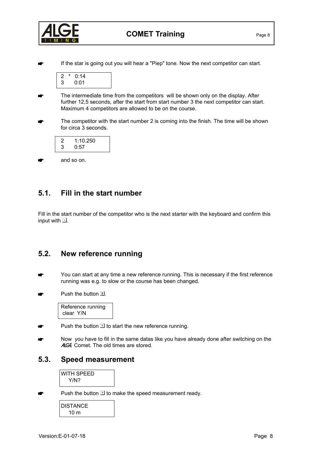<span id="page-7-0"></span>

If the star is going out you will hear a "Piep" tone. Now the next competitor can start.

| ., | 0:14 |  |
|----|------|--|
| ی۔ | 0:01 |  |

- The intermediate time from the competitors will be shown only on the display. After further 12,5 seconds, after the start from start number 3 the next competitor can start. Maximum 4 competitors are allowed to be on the course.
- The competitor with the start number 2 is coming into the finish. The time will be shown for circa 3 seconds.

| 2 | 1:10.250 |  |
|---|----------|--|
| 3 | 0:57     |  |

and so on.

#### **5.1. Fill in the start number**

Fill in the start number of the competitor who is the next starter with the keyboard and confirm this input with  $\Box$ .

#### **5.2. New reference running**

- You can start at any time a new reference running. This is necessary if the first reference running was e.g. to slow or the course has been changed.
- Push the button  $\mathbb{E}$ .

Reference running clear Y/N

- Push the button  $\mathbb{\overline{Y}}$  to start the new reference running.
- Now you have to fill in the same datas like you have already done after switching on the ALGE Comet. The old times are stored.

#### **5.3. Speed measurement**

WITH SPEED Y/N?

Push the button  $\mathbb Z$  to make the speed measurement ready.

DISTANCE 10 m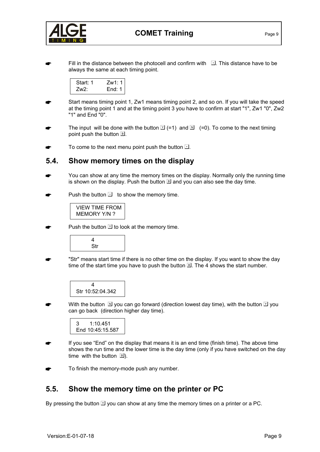<span id="page-8-0"></span>

Fill in the distance between the photocell and confirm with  $\Box$ . This distance have to be always the same at each timing point.

| Start: 1 | Zw1:1    |
|----------|----------|
| Zw2:     | End: $1$ |

- Start means timing point 1, Zw1 means timing point 2, and so on. If you will take the speed at the timing point 1 and at the timing point 3 you have to confirm at start "1", Zw1 "0", Zw2 "1" and End "0".
- The input will be done with the button  $\mathbb{Z}$  (=1) and  $\mathbb{Z}$  (=0). To come to the next timing point push the button  $\mathbb{E}$ .
- To come to the next menu point push the button  $\Box$ .

#### **5.4. Show memory times on the display**

- You can show at any time the memory times on the display. Normally only the running time is shown on the display. Push the button  $\mathbb B$  and you can also see the day time.
- Push the button  $\Box$  to show the memory time.



Push the button  $\mathbb Z$  to look at the memory time.



 "Str" means start time if there is no other time on the display. If you want to show the day time of the start time you have to push the button  $\mathbb{B}$ . The 4 shows the start number.

| 4                |  |
|------------------|--|
| Str 10:52:04.342 |  |

With the button  $\boxtimes$  you can go forward (direction lowest day time), with the button  $\boxtimes$  you can go back (direction higher day time).



- If you see "End" on the display that means it is an end time (finish time). The above time shows the run time and the lower time is the day time (only if you have switched on the day time with the button  $\mathbb{B}$ ).
- To finish the memory-mode push any number.

#### **5.5. Show the memory time on the printer or PC**

By pressing the button  $\mathbb{\overline{S}}$  you can show at any time the memory times on a printer or a PC.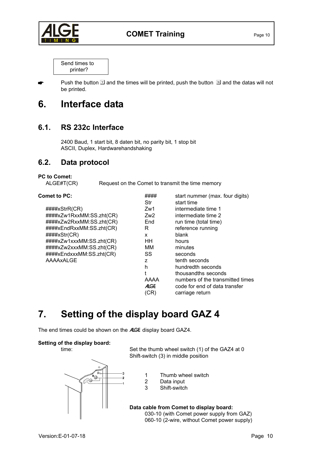<span id="page-9-0"></span>

Send times to printer?

Push the button  $\Box$  and the times will be printed, push the button  $\Box$  and the datas will not be printed.

## **6. Interface data**

#### **6.1. RS 232c Interface**

2400 Baud, 1 start bit, 8 daten bit, no parity bit, 1 stop bit ASCII, Duplex, Hardwarehandshaking

#### **6.2. Data protocol**

#### **PC to Comet:**

ALGE#T(CR) Request on the Comet to transmit the time memory

| <b>Comet to PC:</b>      | ####<br>Str | start nummer (max. four digits)<br>start time |
|--------------------------|-------------|-----------------------------------------------|
| ####xStrR(CR)            | Zw1         | intermediate time 1                           |
| ####xZw1RxxMM:SS.zht(CR) | Zw2         | intermediate time 2                           |
| ####xZw2RxxMM:SS.zht(CR) | End         | run time (total time)                         |
| ####xEndRxxMM:SS.zht(CR) | R           | reference running                             |
| ####xStr(CR)             | x           | blank                                         |
| ####xZw1xxxMM:SS.zht(CR) | HH          | hours                                         |
| ####xZw2xxxMM:SS.zht(CR) | ΜМ          | minutes                                       |
| ####xEndxxxMM:SS.zht(CR) | SS          | seconds                                       |
| AAAAxALGE                | Z           | tenth seconds                                 |
|                          | h           | hundredth seconds                             |
|                          |             | thousandths seconds                           |
|                          | AAAA        | numbers of the transmitted times              |
|                          | <b>ALGE</b> | code for end of data transfer                 |
|                          | (CR)        | carriage return                               |
|                          |             |                                               |

# **7. Setting of the display board GAZ 4**

The end times could be shown on the ALGE display board GAZ4.

#### **Setting of the display board:**



time: Set the thumb wheel switch (1) of the GAZ4 at 0 Shift-switch (3) in middle position

- 1 Thumb wheel switch
- 2 Data input
- 3 Shift-switch

**Data cable from Comet to display board:** 030-10 (with Comet power supply from GAZ)

060-10 (2-wire, without Comet power supply)